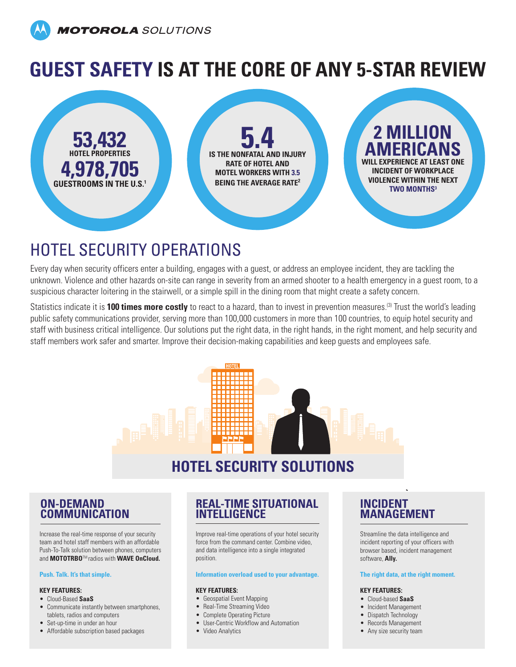

# **GUEST SAFETY IS AT THE CORE OF ANY 5-STAR REVIEW**



## HOTEL SECURITY OPERATIONS

Every day when security officers enter a building, engages with a guest, or address an employee incident, they are tackling the unknown. Violence and other hazards on-site can range in severity from an armed shooter to a health emergency in a guest room, to a suspicious character loitering in the stairwell, or a simple spill in the dining room that might create a safety concern.

Statistics indicate it is 100 times more costly to react to a hazard, than to invest in prevention measures.<sup>(3)</sup> Trust the world's leading public safety communications provider, serving more than 100,000 customers in more than 100 countries, to equip hotel security and staff with business critical intelligence. Our solutions put the right data, in the right hands, in the right moment, and help security and staff members work safer and smarter. Improve their decision-making capabilities and keep guests and employees safe.



## **ON-DEMAND COMMUNICATION**

Increase the real-time response of your security team and hotel staff members with an affordable Push-To-Talk solution between phones, computers and **MOTOTRBO**TM radios with **WAVE OnCloud.**

### **Push. Talk. It's that simple.**

### **KEY FEATURES:**

- Cloud-Based **SaaS**
- Communicate instantly between smartphones, tablets, radios and computers
- Set-up-time in under an hour
- Affordable subscription based packages

## **REAL-TIME SITUATIONAL INTELLIGENCE**

Improve real-time operations of your hotel security force from the command center. Combine video, and data intelligence into a single integrated position.

### **Information overload used to your advantage.**

#### **KEY FEATURES:**

- Geospatial Event Mapping
- Real-Time Streaming Video
- Complete Operating Picture
- User-Centric Workflow and Automation
- Video Analytics

## **INCIDENT MANAGEMENT**

Streamline the data intelligence and incident reporting of your officers with browser based, incident management software, **Ally.**

### **The right data, at the right moment.**

### **KEY FEATURES:**

- Cloud-based **SaaS**
- Incident Management
- Dispatch Technology
- Records Management
- Any size security team